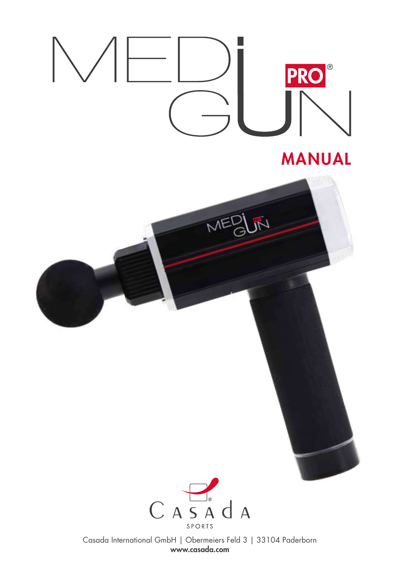



Casada International GmbH | Obermeiers Feld 3 | 33104 Paderborn www.casada.com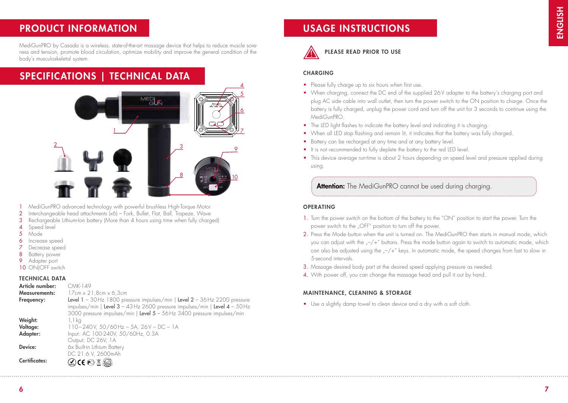## PRODUCT INFORMATION

MediGunPRO by Casada is a wireless, state-of-the-art massage device that helps to reduce muscle soreness and tension, promote blood circulation, optimize mobility and improve the general condition of the body's musculoskeletal system.

# SPECIFICATIONS | TECHNICAL DATA



- 1 MediGunPRO advanced technology with powerful brushless High-Torque Motor
- 2 Interchangeable head attachments (x6) Fork, Bullet, Flat, Ball, Trapeze, Wave
- 3 Rechargeable Lithium-Ion battery (More than 4 hours using time when fully charged)
- 4 Speed level
- 5 Mode
- 6 Increase speed
- Decrease speed
- **Battery power**
- 9 Adapter port
- 10 ON|OFF switch

### TECHNICAL DATA

| CMK-149                                                                        |
|--------------------------------------------------------------------------------|
| $17cm \times 21.8cm \times 6.3cm$                                              |
| Level $1 - 30$ Hz 1800 pressure impulses/min   Level $2 - 36$ Hz 2200 pressure |
| impulses/min   Level 3 - 43 Hz 2600 pressure impulses/min   Level 4 - 50 Hz    |
| 3000 pressure impulses/min   Level 5 - 56Hz 3400 pressure impulses/min         |
| 1,1 kg                                                                         |
| 110-240V, 50/60Hz - 5A, 26V - DC - 1A                                          |
| Input: AC 100-240V, 50/60Hz, 0.3A                                              |
| Output: DC 26V, 1A                                                             |
| 6x Built-in Lithium Battery                                                    |
| DC 21.6 V, 2600mAh                                                             |
| $\mathbb{Q}$ CE $\mathfrak{S}$ $\mathbb{Z}$ $\mathbb{Q}$                       |
|                                                                                |

## USAGE INSTRUCTIONS



### PLEASE READ PRIOR TO USE

### **CHARGING**

- Please fully charge up to six hours when first use.
- When charging, connect the DC end of the supplied 26V adapter to the battery's charging port and plug AC side cable into wall outlet, then turn the power switch to the ON position to charge. Once the battery is fully charged, unplug the power cord and turn off the unit for 3 seconds to continue using the MediGunPRO.
- The LED light flashes to indicate the battery level and indicating it is charging.
- When all LED stop flashing and remain lit, it indicates that the battery was fully charged.
- Battery can be recharged at any time and at any battery level.
- It is not recommended to fully deplete the battery to the red LED level.
- This device average run-time is about 2 hours depending on speed level and pressure applied during using.

Attention: The MediGunPRO cannot be used during charging.

### **OPERATING**

- 1. Turn the power switch on the bottom of the battery to the "ON" position to start the power. Turn the power switch to the "OFF" position to turn off the power.
- 2. Press the Mode button when the unit is turned on. The MediGunPRO then starts in manual mode, which you can adjust with the  $-/-$ " buttons. Press the mode button again to switch to automatic mode, which can also be adjusted using the  $-/-$ " keys. In automatic mode, the speed changes from fast to slow in 5-second intervals.
- 3. Massage desired body part at the desired speed applying pressure as needed.
- 4. With power off, you can change the massage head and pull it out by hand.

### MAINTENANCE, CLEANING & STORAGE

• Use a slightly damp towel to clean device and a dry with a soft cloth.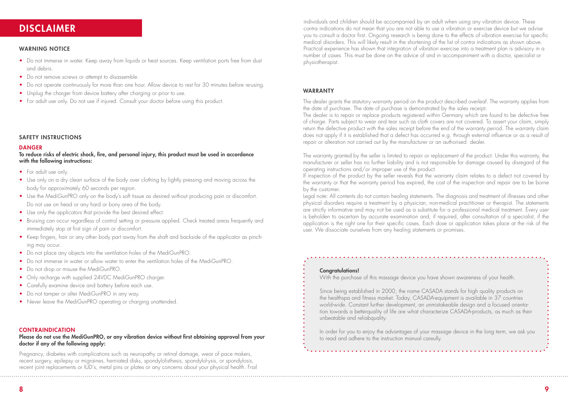## DISCLAIMER

### WARNING NOTICE

- Do not immerse in water. Keep away from liquids or heat sources. Keep ventilation ports free from dust and debris.
- Do not remove screws or attempt to disassemble.
- Do not operate continuously for more than one hour. Allow device to rest for 30 minutes before re-using.
- Unplug the charger from device battery after charging or prior to use.
- For adult use only. Do not use if injured. Consult your doctor before using this product.

### SAFETY INSTRUCTIONS

### **DANGER**

To reduce risks of electric shock, fire, and personal injury, this product must be used in accordance with the following instructions:

- For adult use only.
- Use only on a dry clean surface of the body over clothing by lightly pressing and moving across the body for approximately 60 seconds per region.
- Use the MediGunPRO only on the body's soft tissue as desired without producing pain or discomfort. Do not use on head or any hard or bony area of the body.
- Use only the applicators that provide the best desired effect.
- Bruising can occur regardless of control setting or pressure applied. Check treated areas frequently and immediately stop at first sign of pain or discomfort.
- Keep fingers, hair or any other body part away from the shaft and backside of the applicator as pinching may occur.
- Do not place any objects into the ventilation holes of the MediGunPRO
- Do not immerse in water or allow water to enter the ventilation holes of the MediGunPRO.
- Do not drop or misuse the MediGunPRO.
- Only recharge with supplied 24VDC MediGunPRO charger.
- Carefully examine device and battery before each use.
- Do not tamper or alter MediGunPRO in any way.
- Never leave the MediGunPRO operating or charging unattended.

### CONTRAINDICATION

### Please do not use the MediGunPRO, or any vibration device without first obtaining approval from your doctor if any of the following apply:

Pregnancy, diabetes with complications such as neuropathy or retinal damage, wear of pace makers, recent surgery, epilepsy or migraines, herniated disks, spondylolisthesis, spondylol-ysis, or spondylosis, recent joint replacements or IUD's, metal pins or plates or any concerns about your physical health. Frail individuals and children should be accompanied by an adult when using any vibration device. These contra indications do not mean that you are not able to use a vibration or exercise device but we advise you to consult a doctor first. Ongoing research is being done to the effects of vibration exercise for specific medical disorders. This will likely result in the shortening of the list of contra indications as shown above. Practical experience has shown that integration of vibration exercise into a treatment plan is advisory in a number of cases. This must be done on the advice of and in accompaniment with a doctor, specialist or physiotherapist.

### WARRANTY

The dealer grants the statutory warranty period on the product described overleaf. The warranty applies from the date of purchase. The date of purchase is demonstrated by the sales receipt.

The dealer is to repair or replace products registered within Germany which are found to be defective free of charge. Parts subject to wear and tear such as cloth covers are not covered. To assert your claim, simply return the defective product with the sales receipt before the end of the warranty period. The warranty claim does not apply if it is established that a defect has occurred e.g. through external influence or as a result of repair or alteration not carried out by the manufacturer or an authorised dealer.

The warranty granted by the seller is limited to repair or replacement of the product. Under this warranty, the manufacturer or seller has no further liability and is not responsible for damage caused by disregard of the operating instructions and/or improper use of the product.

If inspection of the product by the seller reveals that the warranty claim relates to a defect not covered by the warranty or that the warranty period has expired, the cost of the inspection and repair are to be borne by the customer.

Legal note: All contents do not contain healing statements. The diagnosis and treatment of illnesses and other physical disorders require a treatment by a physician, non-medical practitioner or therapist. The statements are strictly informative and may not be used as a substitute for a professional medical treatment. Every user is beholden to ascertain by accurate examination and, if required, after consultation of a specialist, if the application is the right one for their specific cases. Each dose or application takes place at the risk of the user. We dissociate ourselves from any healing statements or promises.

### Congratulations!

With the purchase of this massage device you have shown awareness of your health.

Since being established in 2000, the name CASADA stands for high quality products on the healthspa and fitness market. Today, CASADA-equipment is available in 37 countries world-wide. Constant further development, an unmistakeable design and a focused orientation towards a betterquality of life are what characterize CASADA-products, as much as their unbeatable and reliabquality.

In order for you to enjoy the advantages of your massage device in the long term, we ask you to read and adhere to the instruction manual careully.